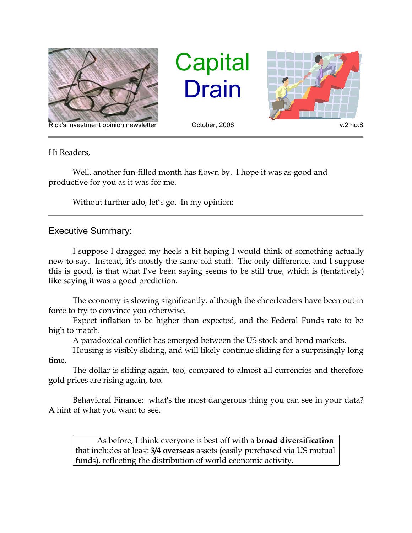

Rick's investment opinion newsletter October, 2006 v.2 no.8

**Capital** Drain



Hi Readers,

Well, another fun-filled month has flown by. I hope it was as good and productive for you as it was for me.

Without further ado, let's go. In my opinion:

## Executive Summary:

I suppose I dragged my heels a bit hoping I would think of something actually new to say. Instead, it's mostly the same old stuff. The only difference, and I suppose this is good, is that what I've been saying seems to be still true, which is (tentatively) like saying it was a good prediction.

The economy is slowing significantly, although the cheerleaders have been out in force to try to convince you otherwise.

Expect inflation to be higher than expected, and the Federal Funds rate to be high to match.

A paradoxical conflict has emerged between the US stock and bond markets.

Housing is visibly sliding, and will likely continue sliding for a surprisingly long time.

The dollar is sliding again, too, compared to almost all currencies and therefore gold prices are rising again, too.

Behavioral Finance: what's the most dangerous thing you can see in your data? A hint of what you want to see.

As before, I think everyone is best off with a **broad diversification** that includes at least **3/4 overseas** assets (easily purchased via US mutual funds), reflecting the distribution of world economic activity.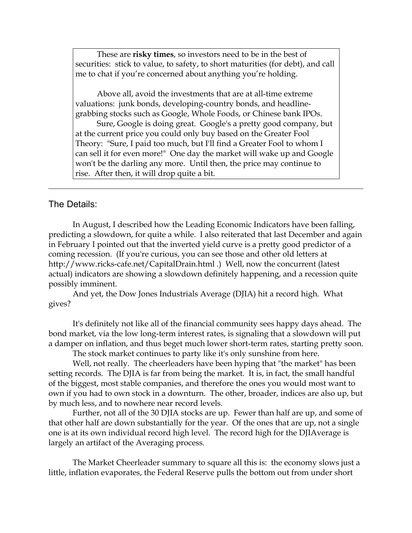These are **risky times**, so investors need to be in the best of securities: stick to value, to safety, to short maturities (for debt), and call me to chat if you're concerned about anything you're holding.

Above all, avoid the investments that are at all-time extreme valuations: junk bonds, developing-country bonds, and headlinegrabbing stocks such as Google, Whole Foods, or Chinese bank IPOs.

Sure, Google is doing great. Google's a pretty good company, but at the current price you could only buy based on the Greater Fool Theory: "Sure, I paid too much, but I'll find a Greater Fool to whom I can sell it for even more!" One day the market will wake up and Google won't be the darling any more. Until then, the price may continue to rise. After then, it will drop quite a bit.

## The Details:

In August, I described how the Leading Economic Indicators have been falling, predicting a slowdown, for quite a while. I also reiterated that last December and again in February I pointed out that the inverted yield curve is a pretty good predictor of a coming recession. (If you're curious, you can see those and other old letters at http://www.ricks-cafe.net/CapitalDrain.html .) Well, now the concurrent (latest actual) indicators are showing a slowdown definitely happening, and a recession quite possibly imminent.

And yet, the Dow Jones Industrials Average (DJIA) hit a record high. What gives?

It's definitely not like all of the financial community sees happy days ahead. The bond market, via the low long-term interest rates, is signaling that a slowdown will put a damper on inflation, and thus beget much lower short-term rates, starting pretty soon.

The stock market continues to party like it's only sunshine from here.

Well, not really. The cheerleaders have been hyping that "the market" has been setting records. The DJIA is far from being the market. It is, in fact, the small handful of the biggest, most stable companies, and therefore the ones you would most want to own if you had to own stock in a downturn. The other, broader, indices are also up, but by much less, and to nowhere near record levels.

Further, not all of the 30 DJIA stocks are up. Fewer than half are up, and some of that other half are down substantially for the year. Of the ones that are up, not a single one is at its own individual record high level. The record high for the DJIAverage is largely an artifact of the Averaging process.

The Market Cheerleader summary to square all this is: the economy slows just a little, inflation evaporates, the Federal Reserve pulls the bottom out from under short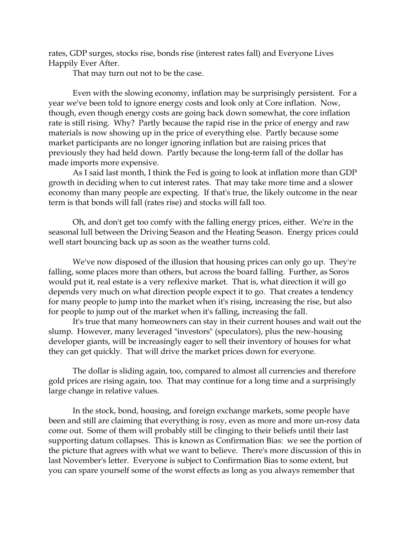rates, GDP surges, stocks rise, bonds rise (interest rates fall) and Everyone Lives Happily Ever After.

That may turn out not to be the case.

Even with the slowing economy, inflation may be surprisingly persistent. For a year we've been told to ignore energy costs and look only at Core inflation. Now, though, even though energy costs are going back down somewhat, the core inflation rate is still rising. Why? Partly because the rapid rise in the price of energy and raw materials is now showing up in the price of everything else. Partly because some market participants are no longer ignoring inflation but are raising prices that previously they had held down. Partly because the long-term fall of the dollar has made imports more expensive.

As I said last month, I think the Fed is going to look at inflation more than GDP growth in deciding when to cut interest rates. That may take more time and a slower economy than many people are expecting. If that's true, the likely outcome in the near term is that bonds will fall (rates rise) and stocks will fall too.

Oh, and don't get too comfy with the falling energy prices, either. We're in the seasonal lull between the Driving Season and the Heating Season. Energy prices could well start bouncing back up as soon as the weather turns cold.

We've now disposed of the illusion that housing prices can only go up. They're falling, some places more than others, but across the board falling. Further, as Soros would put it, real estate is a very reflexive market. That is, what direction it will go depends very much on what direction people expect it to go. That creates a tendency for many people to jump into the market when it's rising, increasing the rise, but also for people to jump out of the market when it's falling, increasing the fall.

It's true that many homeowners can stay in their current houses and wait out the slump. However, many leveraged "investors" (speculators), plus the new-housing developer giants, will be increasingly eager to sell their inventory of houses for what they can get quickly. That will drive the market prices down for everyone.

The dollar is sliding again, too, compared to almost all currencies and therefore gold prices are rising again, too. That may continue for a long time and a surprisingly large change in relative values.

In the stock, bond, housing, and foreign exchange markets, some people have been and still are claiming that everything is rosy, even as more and more un-rosy data come out. Some of them will probably still be clinging to their beliefs until their last supporting datum collapses. This is known as Confirmation Bias: we see the portion of the picture that agrees with what we want to believe. There's more discussion of this in last November's letter. Everyone is subject to Confirmation Bias to some extent, but you can spare yourself some of the worst effects as long as you always remember that